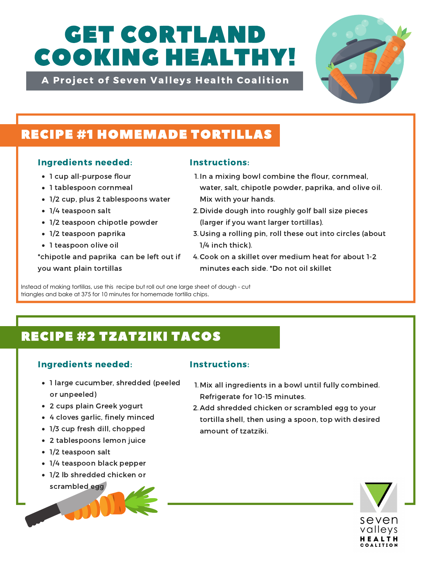# GET CORTLAND COOKING HEALTHY!

A Project of Seven Valleys Health Coalition



## RECIPE #1 HOMEMADE TORTILLAS

### Ingredients needed: Instructions:

- 1 cup all-purpose flour
- 1 tablespoon cornmeal
- 1/2 cup, plus 2 tablespoons water
- 1/4 teaspoon salt
- 1/2 teaspoon chipotle powder
- 1/2 teaspoon paprika
- 1 teaspoon olive oil

\*chipotle and paprika can be left out if you want plain tortillas

- 1. In a mixing bowl combine the flour, cornmeal, water, salt, chipotle powder, paprika, and olive oil. Mix with your hands.
- 2. Divide dough into roughly golf ball size pieces (larger if you want larger tortillas).
- 3. Using a rolling pin, roll these out into circles (about 1/4 inch thick).
- Cook on a skillet over medium heat for about 1-2 4. minutes each side. \*Do not oil skillet

Instead of making tortillas, use this recipe but roll out one large sheet of dough - cut triangles and bake at 375 for 10 minutes for homemade tortilla chips.

# RECIPE #2 TZATZIKI TACOS

### Ingredients needed: Instructions:

- 1 large cucumber, shredded (peeled or unpeeled)
- 2 cups plain Greek yogurt
- 4 cloves garlic, finely minced
- 1/3 cup fresh dill, chopped
- 2 tablespoons lemon juice
- 1/2 teaspoon salt
- 1/4 teaspoon black pepper
- 1/2 lb shredded chicken or scrambled egg



amount of tzatziki.

Refrigerate for 10-15 minutes. 2. Add shredded chicken or scrambled egg to your tortilla shell, then using a spoon, top with desired